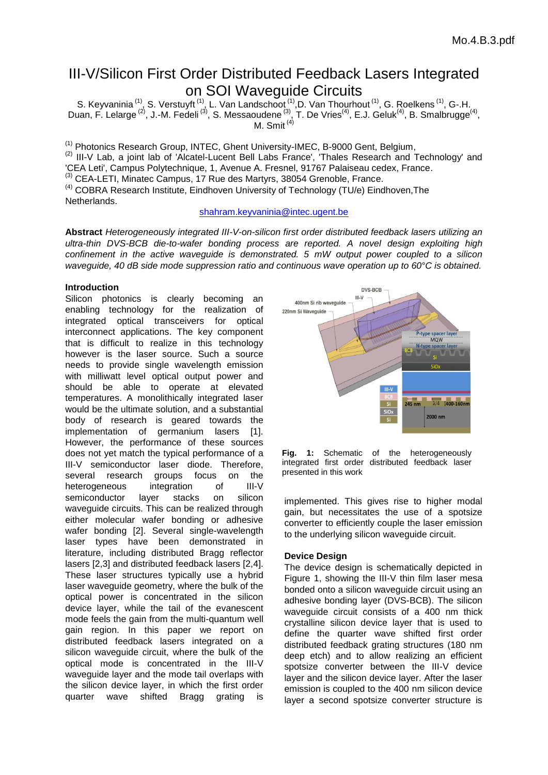# III-V/Silicon First Order Distributed Feedback Lasers Integrated on SOI Waveguide Circuits

S. Keyvaninia<sup>(1)</sup>, S. Verstuyft<sup>(1)</sup>, L. Van Landschoot<sup>(1)</sup>, D. Van Thourhout<sup>(1)</sup>, G. Roelkens<sup>(1)</sup>, G-.H. Duan, F. Lelarge<sup>(2)</sup>, J.-M. Fedeli<sup>(3)</sup>, S. Messaoudene<sup>(3)</sup>, T. De Vries<sup>(4)</sup>, E.J. Geluk<sup>(4)</sup>, B. [Smalbrugge](https://venus.tue.nl/ep-cgi/ep_detail.opl?taal=NL&rn=19860159)<sup>(4)</sup>, [M. Smit](https://venus.tue.nl/ep-cgi/ep_detail.opl?taal=NL&rn=19860159)  $(4)$ 

(1) Photonics Research Group, INTEC, Ghent University-IMEC, B-9000 Gent, Belgium, <sup>(2)</sup> III-V Lab, a joint lab of 'Alcatel-Lucent Bell Labs France', 'Thales Research and Technology' and 'CEA Leti', Campus Polytechnique, 1, Avenue A. Fresnel, 91767 Palaiseau cedex, France. (3) CEA-LETI, Minatec Campus, 17 Rue des Martyrs, 38054 Grenoble, France. <sup>(4)</sup> COBRA Research Institute, Eindhoven University of Technology (TU/e) Eindhoven, The Netherlands.

## [shahram.keyvaninia@intec.ugent.be](mailto:shahram.keyvaninia@intec.ugent.be)

**Abstract** *Heterogeneously integrated III-V-on-silicon first order distributed feedback lasers utilizing an ultra-thin DVS-BCB die-to-wafer bonding process are reported. A novel design exploiting high confinement in the active waveguide is demonstrated. 5 mW output power coupled to a silicon waveguide, 40 dB side mode suppression ratio and continuous wave operation up to 60°C is obtained.*

## **Introduction**

Silicon photonics is clearly becoming an enabling technology for the realization of integrated optical transceivers for optical interconnect applications. The key component that is difficult to realize in this technology however is the laser source. Such a source needs to provide single wavelength emission with milliwatt level optical output power and should be able to operate at elevated temperatures. A monolithically integrated laser would be the ultimate solution, and a substantial body of research is geared towards the implementation of germanium lasers [1]. However, the performance of these sources does not yet match the typical performance of a III-V semiconductor laser diode. Therefore, several research groups focus on the heterogeneous integration of III-V semiconductor layer stacks on silicon waveguide circuits. This can be realized through either molecular wafer bonding or adhesive wafer bonding [2]. Several single-wavelength laser types have been demonstrated in literature, including distributed Bragg reflector lasers [2,3] and distributed feedback lasers [2,4]. These laser structures typically use a hybrid laser waveguide geometry, where the bulk of the optical power is concentrated in the silicon device layer, while the tail of the evanescent mode feels the gain from the multi-quantum well gain region. In this paper we report on distributed feedback lasers integrated on a silicon waveguide circuit, where the bulk of the optical mode is concentrated in the III-V waveguide layer and the mode tail overlaps with the silicon device layer, in which the first order quarter wave shifted Bragg grating is



**Fig. 1:** Schematic of the heterogeneously integrated first order distributed feedback laser presented in this work

implemented. This gives rise to higher modal gain, but necessitates the use of a spotsize converter to efficiently couple the laser emission to the underlying silicon waveguide circuit.

# **Device Design**

The device design is schematically depicted in Figure 1, showing the III-V thin film laser mesa bonded onto a silicon waveguide circuit using an adhesive bonding layer (DVS-BCB). The silicon waveguide circuit consists of a 400 nm thick crystalline silicon device layer that is used to define the quarter wave shifted first order distributed feedback grating structures (180 nm deep etch) and to allow realizing an efficient spotsize converter between the III-V device layer and the silicon device layer. After the laser emission is coupled to the 400 nm silicon device layer a second spotsize converter structure is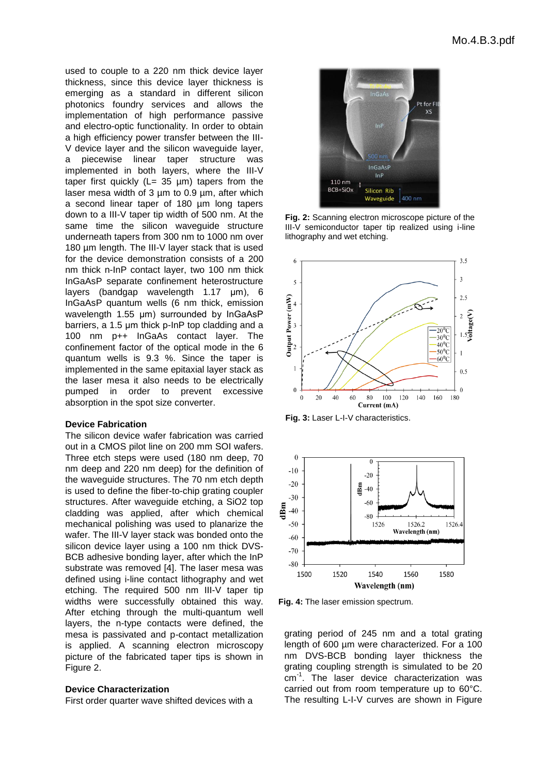used to couple to a 220 nm thick device layer thickness, since this device layer thickness is emerging as a standard in different silicon photonics foundry services and allows the implementation of high performance passive and electro-optic functionality. In order to obtain a high efficiency power transfer between the III-V device layer and the silicon waveguide layer, a piecewise linear taper structure was implemented in both layers, where the III-V taper first quickly ( $L= 35 \mu m$ ) tapers from the laser mesa width of  $3 \mu m$  to  $0.9 \mu m$ , after which a second linear taper of 180 µm long tapers down to a III-V taper tip width of 500 nm. At the same time the silicon waveguide structure underneath tapers from 300 nm to 1000 nm over 180 um length. The III-V layer stack that is used for the device demonstration consists of a 200 nm thick n-InP contact layer, two 100 nm thick InGaAsP separate confinement heterostructure layers (bandgap wavelength 1.17 μm), 6 InGaAsP quantum wells (6 nm thick, emission wavelength 1.55 μm) surrounded by InGaAsP barriers, a 1.5 μm thick p-InP top cladding and a 100 nm p++ InGaAs contact layer. The confinement factor of the optical mode in the 6 quantum wells is 9.3 %. Since the taper is implemented in the same epitaxial layer stack as the laser mesa it also needs to be electrically pumped in order to prevent excessive absorption in the spot size converter.

#### **Device Fabrication**

The silicon device wafer fabrication was carried out in a CMOS pilot line on 200 mm SOI wafers. Three etch steps were used (180 nm deep, 70 nm deep and 220 nm deep) for the definition of the waveguide structures. The 70 nm etch depth is used to define the fiber-to-chip grating coupler structures. After waveguide etching, a SiO2 top cladding was applied, after which chemical mechanical polishing was used to planarize the wafer. The III-V layer stack was bonded onto the silicon device layer using a 100 nm thick DVS-BCB adhesive bonding layer, after which the InP substrate was removed [4]. The laser mesa was defined using i-line contact lithography and wet etching. The required 500 nm III-V taper tip widths were successfully obtained this way. After etching through the multi-quantum well layers, the n-type contacts were defined, the mesa is passivated and p-contact metallization is applied. A scanning electron microscopy picture of the fabricated taper tips is shown in Figure 2.

#### **Device Characterization**

First order quarter wave shifted devices with a



**Fig. 2:** Scanning electron microscope picture of the III-V semiconductor taper tip realized using i-line lithography and wet etching.



**Fig. 3:** Laser L-I-V characteristics.



**Fig. 4:** The laser emission spectrum.

grating period of 245 nm and a total grating length of 600 µm were characterized. For a 100 nm DVS-BCB bonding layer thickness the grating coupling strength is simulated to be 20 cm<sup>-1</sup>. The laser device characterization was carried out from room temperature up to 60°C. The resulting L-I-V curves are shown in Figure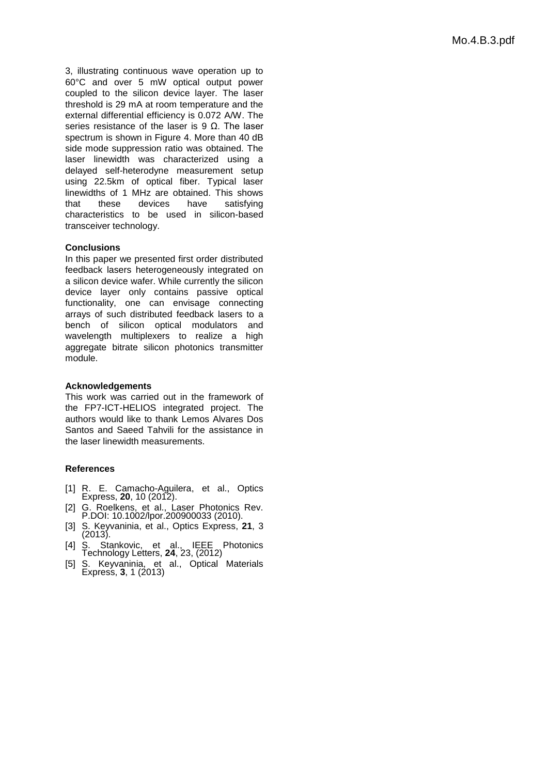3, illustrating continuous wave operation up to 60°C and over 5 mW optical output power coupled to the silicon device layer. The laser threshold is 29 mA at room temperature and the external differential efficiency is 0.072 A/W. The series resistance of the laser is 9  $\Omega$ . The laser spectrum is shown in Figure 4. More than 40 dB side mode suppression ratio was obtained. The laser linewidth was characterized using a delayed self-heterodyne measurement setup using 22.5km of optical fiber. Typical laser linewidths of 1 MHz are obtained. This shows that these devices have satisfying characteristics to be used in silicon-based transceiver technology.

# **Conclusions**

In this paper we presented first order distributed feedback lasers heterogeneously integrated on a silicon device wafer. While currently the silicon device layer only contains passive optical functionality, one can envisage connecting arrays of such distributed feedback lasers to a bench of silicon optical modulators and wavelength multiplexers to realize a high aggregate bitrate silicon photonics transmitter module.

# **Acknowledgements**

This work was carried out in the framework of the FP7-ICT-HELIOS integrated project. The authors would like to thank Lemos Alvares Dos Santos and Saeed Tahvili for the assistance in the laser linewidth measurements.

# **References**

- [1] [R. E. Camacho-Aguilera,](javascript:searchAuthor() et al., Optics Express, **20**, 10 (2012).
- [2] G. Roelkens, et al., Laser Photonics Rev. P.DOI: 10.1002/lpor.200900033 (2010).
- [3] S. Keyvaninia, et al., Optics Express, **21**, 3 (2013).
- [4] S. Stankovic, et al., IEEE Photonics Technology Letters, **24**, 23, (2012)
- [5] S. Keyvaninia, et al., Optical Materials Express, **3**, 1 (2013)